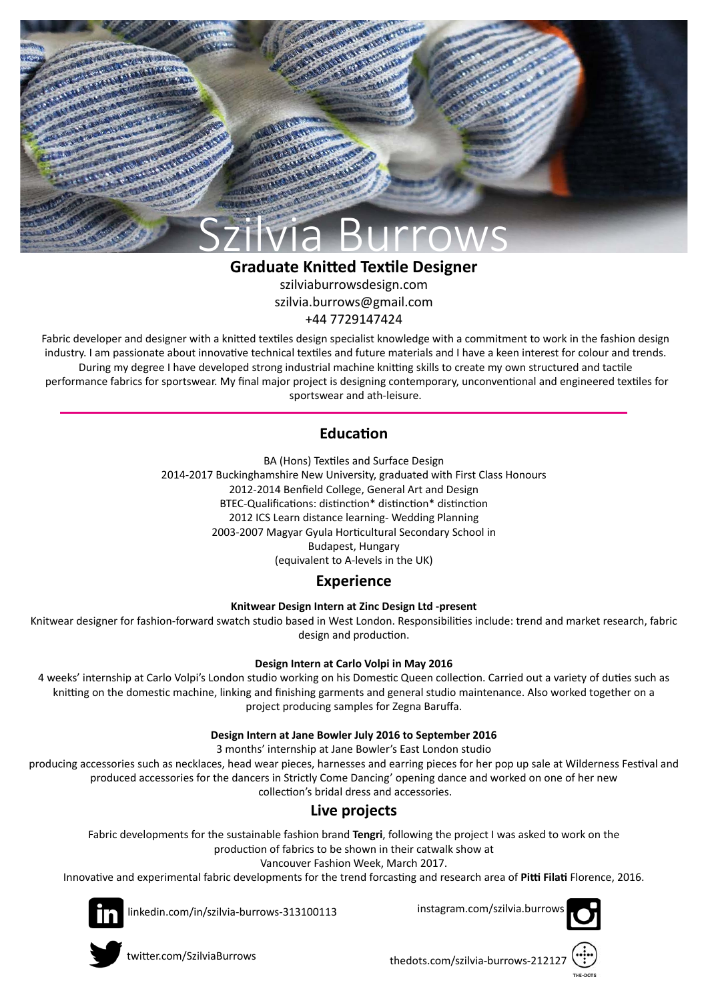

# **Graduate Knitted Textile Designer**

szilviaburrowsdesign.com szilvia.burrows@gmail.com +44 7729147424

Fabric developer and designer with a knitted textiles design specialist knowledge with a commitment to work in the fashion design industry. I am passionate about innovative technical textiles and future materials and I have a keen interest for colour and trends. During my degree I have developed strong industrial machine knitting skills to create my own structured and tactile performance fabrics for sportswear. My final major project is designing contemporary, unconventional and engineered textiles for sportswear and ath-leisure.

## **Education**

BA (Hons) Textiles and Surface Design 2014-2017 Buckinghamshire New University, graduated with First Class Honours 2012-2014 Benfield College, General Art and Design BTEC-Qualifications: distinction\* distinction\* distinction 2012 ICS Learn distance learning- Wedding Planning 2003-2007 Magyar Gyula Horticultural Secondary School in Budapest, Hungary (equivalent to A-levels in the UK)

#### **Experience**

**Knitwear Design Intern at Zinc Design Ltd -present**

Knitwear designer for fashion-forward swatch studio based in West London. Responsibilities include: trend and market research, fabric design and production.

#### **Design Intern at Carlo Volpi in May 2016**

4 weeks' internship at Carlo Volpi's London studio working on his Domestic Queen collection. Carried out a variety of duties such as knitting on the domestic machine, linking and finishing garments and general studio maintenance. Also worked together on a project producing samples for Zegna Baruffa.

#### **Design Intern at Jane Bowler July 2016 to September 2016**

3 months' internship at Jane Bowler's East London studio

producing accessories such as necklaces, head wear pieces, harnesses and earring pieces for her pop up sale at Wilderness Festival and produced accessories for the dancers in Strictly Come Dancing' opening dance and worked on one of her new collection's bridal dress and accessories.

## **Live projects**

Fabric developments for the sustainable fashion brand **Tengri**, following the project I was asked to work on the

production of fabrics to be shown in their catwalk show at

Vancouver Fashion Week, March 2017.

Innovative and experimental fabric developments for the trend forcasting and research area of **Pitti Filati** Florence, 2016.



linkedin.com/in/szilvia-burrows-313100113





twitter.com/SzilviaBurrows

thedots.com/szilvia-burrows-21212